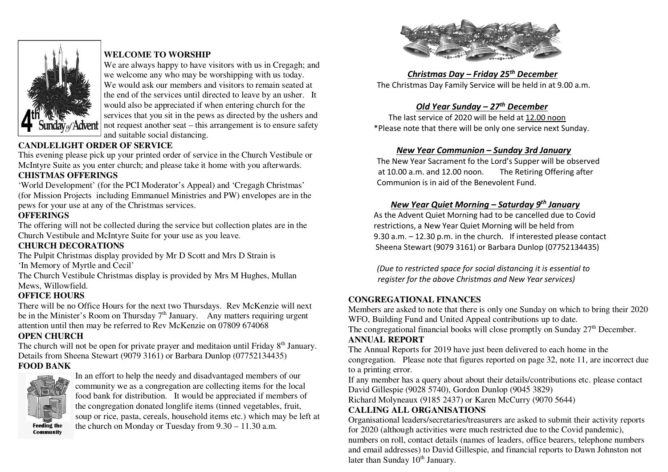

## **WELCOME TO WORSHIP**

 We are always happy to have visitors with us in Cregagh; and we welcome any who may be worshipping with us today. We would ask our members and visitors to remain seated at the end of the services until directed to leave by an usher. It would also be appreciated if when entering church for the services that you sit in the pews as directed by the ushers and not request another seat – this arrangement is to ensure safety and suitable social distancing.

# **CANDLELIGHT ORDER OF SERVICE**

 This evening please pick up your printed order of service in the Church Vestibule or McIntyre Suite as you enter church; and please take it home with you afterwards.

## **CHISTMAS OFFERINGS**

 'World Development' (for the PCI Moderator's Appeal) and 'Cregagh Christmas' (for Mission Projects including Emmanuel Ministries and PW) envelopes are in the pews for your use at any of the Christmas services.

## **OFFERINGS**

 The offering will not be collected during the service but collection plates are in the Church Vestibule and McIntyre Suite for your use as you leave.

## **CHURCH DECORATIONS**

 The Pulpit Christmas display provided by Mr D Scott and Mrs D Strain is 'In Memory of Myrtle and Cecil'

 The Church Vestibule Christmas display is provided by Mrs M Hughes, Mullan Mews, Willowfield.

## **OFFICE HOURS**

 There will be no Office Hours for the next two Thursdays. Rev McKenzie will next be in the Minister's Room on Thursday  $7<sup>th</sup>$  January. Any matters requiring urgent attention until then may be referred to Rev McKenzie on 07809 674068

## **OPEN CHURCH**

The church will not be open for private prayer and meditaion until Friday 8<sup>th</sup> January. Details from Sheena Stewart (9079 3161) or Barbara Dunlop (07752134435)

#### **FOOD BANK**



In an effort to help the needy and disadvantaged members of our community we as a congregation are collecting items for the local food bank for distribution. It would be appreciated if members of the congregation donated longlife items (tinned vegetables, fruit, soup or rice, pasta, cereals, household items etc.) which may be left at the church on Monday or Tuesday from 9.30 – 11.30 a.m.



 *Christmas Day – Friday 25th December* The Christmas Day Family Service will be held in at 9.00 a.m.

## *Old Year Sunday – 27th December*

 The last service of 2020 will be held at 12.00 noon \*Please note that there will be only one service next Sunday.

#### *New Year Communion – Sunday 3rd January*

 The New Year Sacrament fo the Lord's Supper will be observed at 10.00 a.m. and 12.00 noon. The Retiring Offering after Communion is in aid of the Benevolent Fund.

#### *New Year Quiet Morning – Saturday 9th January*

 As the Advent Quiet Morning had to be cancelled due to Covid restrictions, a New Year Quiet Morning will be held from 9.30 a.m. – 12.30 p.m. in the church. If interested please contact Sheena Stewart (9079 3161) or Barbara Dunlop (07752134435)

*(Due to restricted space for social distancing it is essential to register for the above Christmas and New Year services)* 

#### **CONGREGATIONAL FINANCES**

 Members are asked to note that there is only one Sunday on which to bring their 2020 WFO, Building Fund and United Appeal contributions up to date.

The congregational financial books will close promptly on Sunday  $27<sup>th</sup>$  December.

#### **ANNUAL REPORT**

 The Annual Reports for 2019 have just been delivered to each home in the congregation. Please note that figures reported on page 32, note 11, are incorrect due to a printing error.

 If any member has a query about about their details/contributions etc. please contact David Gillespie (9028 5740), Gordon Dunlop (9045 3829)

Richard Molyneaux (9185 2437) or Karen McCurry (9070 5644)

## **CALLING ALL ORGANISATIONS**

 Organisational leaders/secretaries/treasurers are asked to submit their activity reports for 2020 (although activities were much restricted due to the Covid pandemic), numbers on roll, contact details (names of leaders, office bearers, telephone numbers and email addresses) to David Gillespie, and financial reports to Dawn Johnston not later than Sunday  $10<sup>th</sup>$  January.